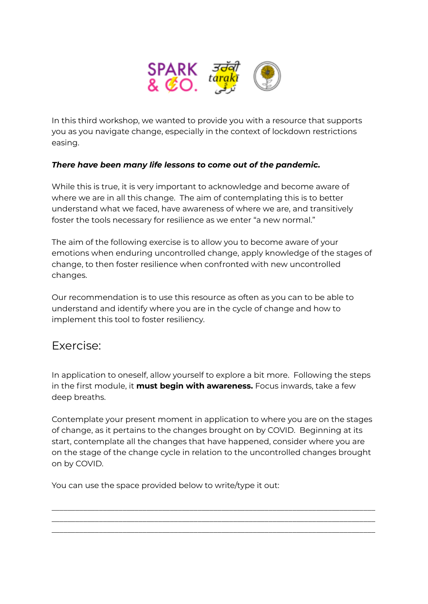

In this third workshop, we wanted to provide you with a resource that supports you as you navigate change, especially in the context of lockdown restrictions easing.

## *There have been many life lessons to come out of the pandemic.*

While this is true, it is very important to acknowledge and become aware of where we are in all this change. The aim of contemplating this is to better understand what we faced, have awareness of where we are, and transitively foster the tools necessary for resilience as we enter "a new normal."

The aim of the following exercise is to allow you to become aware of your emotions when enduring uncontrolled change, apply knowledge of the stages of change, to then foster resilience when confronted with new uncontrolled changes.

Our recommendation is to use this resource as often as you can to be able to understand and identify where you are in the cycle of change and how to implement this tool to foster resiliency.

## Exercise:

In application to oneself, allow yourself to explore a bit more. Following the steps in the first module, it **must begin with awareness.** Focus inwards, take a few deep breaths.

Contemplate your present moment in application to where you are on the stages of change, as it pertains to the changes brought on by COVID. Beginning at its start, contemplate all the changes that have happened, consider where you are on the stage of the change cycle in relation to the uncontrolled changes brought on by COVID.

\_\_\_\_\_\_\_\_\_\_\_\_\_\_\_\_\_\_\_\_\_\_\_\_\_\_\_\_\_\_\_\_\_\_\_\_\_\_\_\_\_\_\_\_\_\_\_\_\_\_\_\_\_\_\_\_\_\_\_\_\_\_\_\_\_\_\_\_\_\_\_\_\_\_\_\_\_\_\_\_\_\_ \_\_\_\_\_\_\_\_\_\_\_\_\_\_\_\_\_\_\_\_\_\_\_\_\_\_\_\_\_\_\_\_\_\_\_\_\_\_\_\_\_\_\_\_\_\_\_\_\_\_\_\_\_\_\_\_\_\_\_\_\_\_\_\_\_\_\_\_\_\_\_\_\_\_\_\_\_\_\_\_\_\_ \_\_\_\_\_\_\_\_\_\_\_\_\_\_\_\_\_\_\_\_\_\_\_\_\_\_\_\_\_\_\_\_\_\_\_\_\_\_\_\_\_\_\_\_\_\_\_\_\_\_\_\_\_\_\_\_\_\_\_\_\_\_\_\_\_\_\_\_\_\_\_\_\_\_\_\_\_\_\_\_\_\_

You can use the space provided below to write/type it out: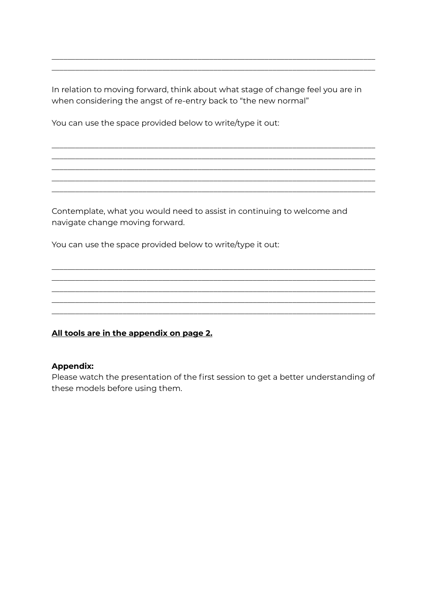In relation to moving forward, think about what stage of change feel you are in when considering the angst of re-entry back to "the new normal"

You can use the space provided below to write/type it out:

Contemplate, what you would need to assist in continuing to welcome and navigate change moving forward.

You can use the space provided below to write/type it out:

## All tools are in the appendix on page 2.

## **Appendix:**

Please watch the presentation of the first session to get a better understanding of these models before using them.